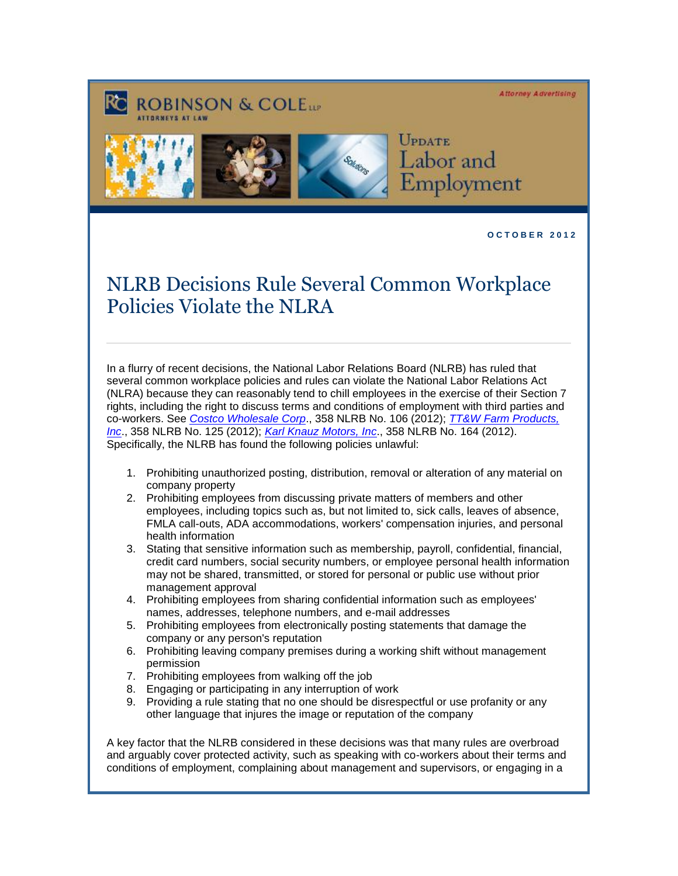**Attorney Advertising** 





**O C T O B E R 2 0 1 2** 

## NLRB Decisions Rule Several Common Workplace Policies Violate the NLRA

In a flurry of recent decisions, the National Labor Relations Board (NLRB) has ruled that several common workplace policies and rules can violate the National Labor Relations Act (NLRA) because they can reasonably tend to chill employees in the exercise of their Section 7 rights, including the right to discuss terms and conditions of employment with third parties and co-workers. See *[Costco Wholesale Corp](http://www.rc.com/documents/Costco358NRLBNo106(2012).pdf)*., 358 NLRB No. 106 (2012); *[TT&W Farm Products,](http://www.rc.com/documents/TT&WFarmProducts358NRLBNo125(2012).pdf)  [Inc](http://www.rc.com/documents/TT&WFarmProducts358NRLBNo125(2012).pdf)*., 358 NLRB No. 125 (2012); *[Karl Knauz Motors, Inc](http://www.rc.com/documents/KarlKnauzMotors358NRLBNo164(2012).pdf)*., 358 NLRB No. 164 (2012). Specifically, the NLRB has found the following policies unlawful:

- 1. Prohibiting unauthorized posting, distribution, removal or alteration of any material on company property
- 2. Prohibiting employees from discussing private matters of members and other employees, including topics such as, but not limited to, sick calls, leaves of absence, FMLA call-outs, ADA accommodations, workers' compensation injuries, and personal health information
- 3. Stating that sensitive information such as membership, payroll, confidential, financial, credit card numbers, social security numbers, or employee personal health information may not be shared, transmitted, or stored for personal or public use without prior management approval
- 4. Prohibiting employees from sharing confidential information such as employees' names, addresses, telephone numbers, and e-mail addresses
- 5. Prohibiting employees from electronically posting statements that damage the company or any person's reputation
- 6. Prohibiting leaving company premises during a working shift without management permission
- 7. Prohibiting employees from walking off the job
- 8. Engaging or participating in any interruption of work
- 9. Providing a rule stating that no one should be disrespectful or use profanity or any other language that injures the image or reputation of the company

A key factor that the NLRB considered in these decisions was that many rules are overbroad and arguably cover protected activity, such as speaking with co-workers about their terms and conditions of employment, complaining about management and supervisors, or engaging in a